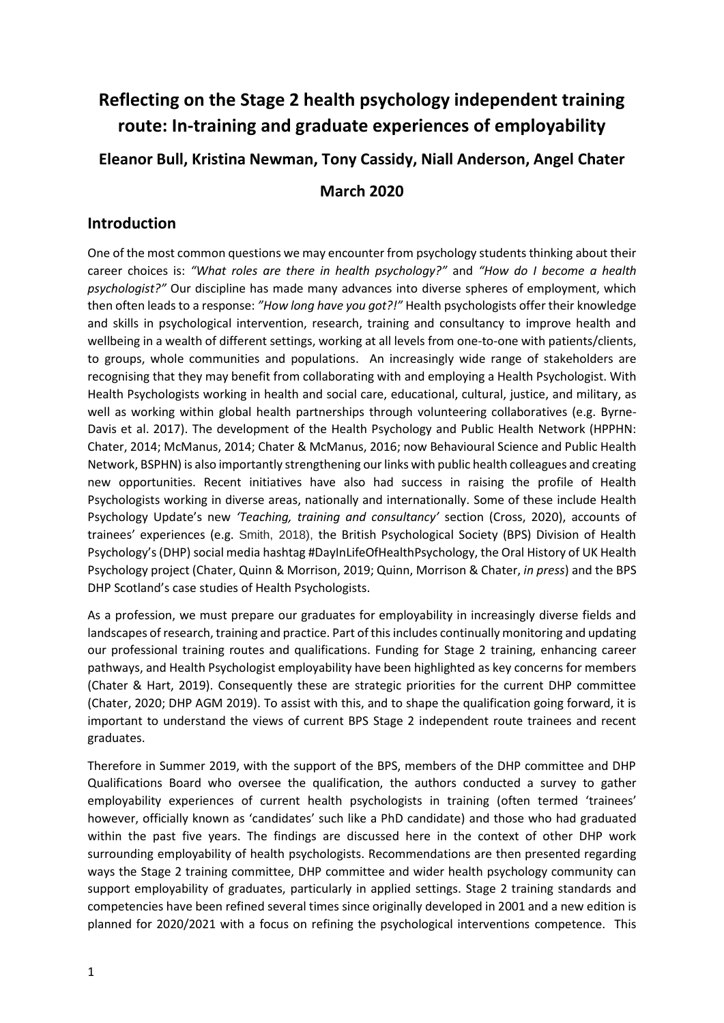# **Reflecting on the Stage 2 health psychology independent training route: In-training and graduate experiences of employability Eleanor Bull, Kristina Newman, Tony Cassidy, Niall Anderson, Angel Chater March 2020**

# **Introduction**

One of the most common questions we may encounter from psychology students thinking about their career choices is: *"What roles are there in health psychology?"* and *"How do I become a health psychologist?"* Our discipline has made many advances into diverse spheres of employment, which then often leads to a response: *"How long have you got?!"* Health psychologists offer their knowledge and skills in psychological intervention, research, training and consultancy to improve health and wellbeing in a wealth of different settings, working at all levels from one-to-one with patients/clients, to groups, whole communities and populations. An increasingly wide range of stakeholders are recognising that they may benefit from collaborating with and employing a Health Psychologist. With Health Psychologists working in health and social care, educational, cultural, justice, and military, as well as working within global health partnerships through volunteering collaboratives (e.g. Byrne-Davis et al. 2017). The development of the Health Psychology and Public Health Network (HPPHN: Chater, 2014; McManus, 2014; Chater & McManus, 2016; now Behavioural Science and Public Health Network, BSPHN) is also importantly strengthening our links with public health colleagues and creating new opportunities. Recent initiatives have also had success in raising the profile of Health Psychologists working in diverse areas, nationally and internationally. Some of these include Health Psychology Update's new *'Teaching, training and consultancy'* section (Cross, 2020), accounts of trainees' experiences (e.g. Smith, 2018), the British Psychological Society (BPS) Division of Health Psychology's (DHP) social media hashtag #DayInLifeOfHealthPsychology, the Oral History of UK Health Psychology project (Chater, Quinn & Morrison, 2019; Quinn, Morrison & Chater, *in press*) and the BPS DHP Scotland's case studies of Health Psychologists.

As a profession, we must prepare our graduates for employability in increasingly diverse fields and landscapes of research, training and practice. Part of this includes continually monitoring and updating our professional training routes and qualifications. Funding for Stage 2 training, enhancing career pathways, and Health Psychologist employability have been highlighted as key concerns for members (Chater & Hart, 2019). Consequently these are strategic priorities for the current DHP committee (Chater, 2020; DHP AGM 2019). To assist with this, and to shape the qualification going forward, it is important to understand the views of current BPS Stage 2 independent route trainees and recent graduates.

Therefore in Summer 2019, with the support of the BPS, members of the DHP committee and DHP Qualifications Board who oversee the qualification, the authors conducted a survey to gather employability experiences of current health psychologists in training (often termed 'trainees' however, officially known as 'candidates' such like a PhD candidate) and those who had graduated within the past five years. The findings are discussed here in the context of other DHP work surrounding employability of health psychologists. Recommendations are then presented regarding ways the Stage 2 training committee, DHP committee and wider health psychology community can support employability of graduates, particularly in applied settings. Stage 2 training standards and competencies have been refined several times since originally developed in 2001 and a new edition is planned for 2020/2021 with a focus on refining the psychological interventions competence. This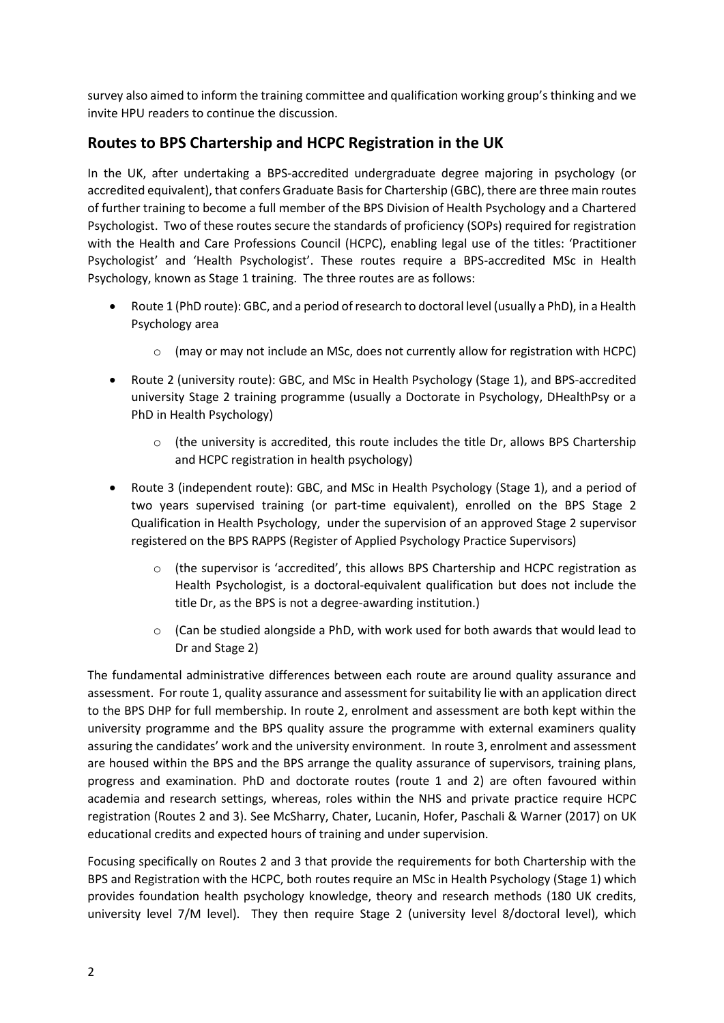survey also aimed to inform the training committee and qualification working group's thinking and we invite HPU readers to continue the discussion.

# **Routes to BPS Chartership and HCPC Registration in the UK**

In the UK, after undertaking a BPS-accredited undergraduate degree majoring in psychology (or accredited equivalent), that confers Graduate Basis for Chartership (GBC), there are three main routes of further training to become a full member of the BPS Division of Health Psychology and a Chartered Psychologist. Two of these routes secure the standards of proficiency (SOPs) required for registration with the Health and Care Professions Council (HCPC), enabling legal use of the titles: 'Practitioner Psychologist' and 'Health Psychologist'. These routes require a BPS-accredited MSc in Health Psychology, known as Stage 1 training. The three routes are as follows:

- Route 1 (PhD route): GBC, and a period of research to doctoral level (usually a PhD), in a Health Psychology area
	- $\circ$  (may or may not include an MSc, does not currently allow for registration with HCPC)
- Route 2 (university route): GBC, and MSc in Health Psychology (Stage 1), and BPS-accredited university Stage 2 training programme (usually a Doctorate in Psychology, DHealthPsy or a PhD in Health Psychology)
	- $\circ$  (the university is accredited, this route includes the title Dr, allows BPS Chartership and HCPC registration in health psychology)
- Route 3 (independent route): GBC, and MSc in Health Psychology (Stage 1), and a period of two years supervised training (or part-time equivalent), enrolled on the BPS Stage 2 Qualification in Health Psychology, under the supervision of an approved Stage 2 supervisor registered on the BPS RAPPS (Register of Applied Psychology Practice Supervisors)
	- (the supervisor is 'accredited', this allows BPS Chartership and HCPC registration as Health Psychologist, is a doctoral-equivalent qualification but does not include the title Dr, as the BPS is not a degree-awarding institution.)
	- $\circ$  (Can be studied alongside a PhD, with work used for both awards that would lead to Dr and Stage 2)

The fundamental administrative differences between each route are around quality assurance and assessment. For route 1, quality assurance and assessment for suitability lie with an application direct to the BPS DHP for full membership. In route 2, enrolment and assessment are both kept within the university programme and the BPS quality assure the programme with external examiners quality assuring the candidates' work and the university environment. In route 3, enrolment and assessment are housed within the BPS and the BPS arrange the quality assurance of supervisors, training plans, progress and examination. PhD and doctorate routes (route 1 and 2) are often favoured within academia and research settings, whereas, roles within the NHS and private practice require HCPC registration (Routes 2 and 3). See McSharry, Chater, Lucanin, Hofer, Paschali & Warner (2017) on UK educational credits and expected hours of training and under supervision.

Focusing specifically on Routes 2 and 3 that provide the requirements for both Chartership with the BPS and Registration with the HCPC, both routes require an MSc in Health Psychology (Stage 1) which provides foundation health psychology knowledge, theory and research methods (180 UK credits, university level 7/M level). They then require Stage 2 (university level 8/doctoral level), which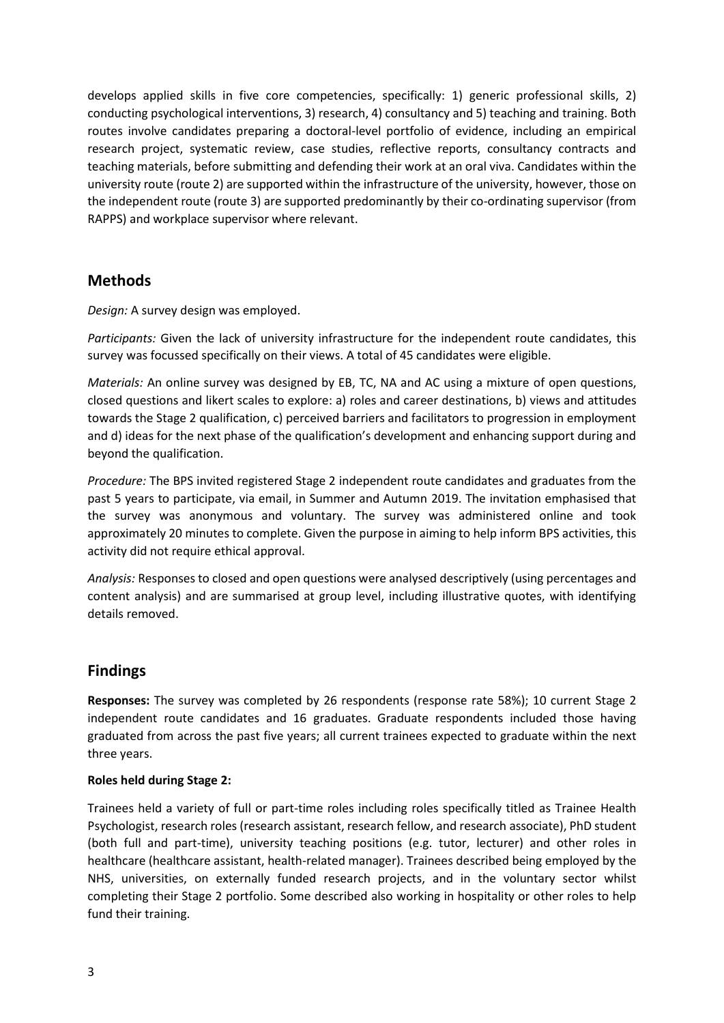develops applied skills in five core competencies, specifically: 1) generic professional skills, 2) conducting psychological interventions, 3) research, 4) consultancy and 5) teaching and training. Both routes involve candidates preparing a doctoral-level portfolio of evidence, including an empirical research project, systematic review, case studies, reflective reports, consultancy contracts and teaching materials, before submitting and defending their work at an oral viva. Candidates within the university route (route 2) are supported within the infrastructure of the university, however, those on the independent route (route 3) are supported predominantly by their co-ordinating supervisor (from RAPPS) and workplace supervisor where relevant.

# **Methods**

*Design:* A survey design was employed.

*Participants:* Given the lack of university infrastructure for the independent route candidates, this survey was focussed specifically on their views. A total of 45 candidates were eligible.

*Materials:* An online survey was designed by EB, TC, NA and AC using a mixture of open questions, closed questions and likert scales to explore: a) roles and career destinations, b) views and attitudes towards the Stage 2 qualification, c) perceived barriers and facilitators to progression in employment and d) ideas for the next phase of the qualification's development and enhancing support during and beyond the qualification.

*Procedure:* The BPS invited registered Stage 2 independent route candidates and graduates from the past 5 years to participate, via email, in Summer and Autumn 2019. The invitation emphasised that the survey was anonymous and voluntary. The survey was administered online and took approximately 20 minutes to complete. Given the purpose in aiming to help inform BPS activities, this activity did not require ethical approval.

*Analysis:* Responses to closed and open questions were analysed descriptively (using percentages and content analysis) and are summarised at group level, including illustrative quotes, with identifying details removed.

# **Findings**

**Responses:** The survey was completed by 26 respondents (response rate 58%); 10 current Stage 2 independent route candidates and 16 graduates. Graduate respondents included those having graduated from across the past five years; all current trainees expected to graduate within the next three years.

# **Roles held during Stage 2:**

Trainees held a variety of full or part-time roles including roles specifically titled as Trainee Health Psychologist, research roles (research assistant, research fellow, and research associate), PhD student (both full and part-time), university teaching positions (e.g. tutor, lecturer) and other roles in healthcare (healthcare assistant, health-related manager). Trainees described being employed by the NHS, universities, on externally funded research projects, and in the voluntary sector whilst completing their Stage 2 portfolio. Some described also working in hospitality or other roles to help fund their training.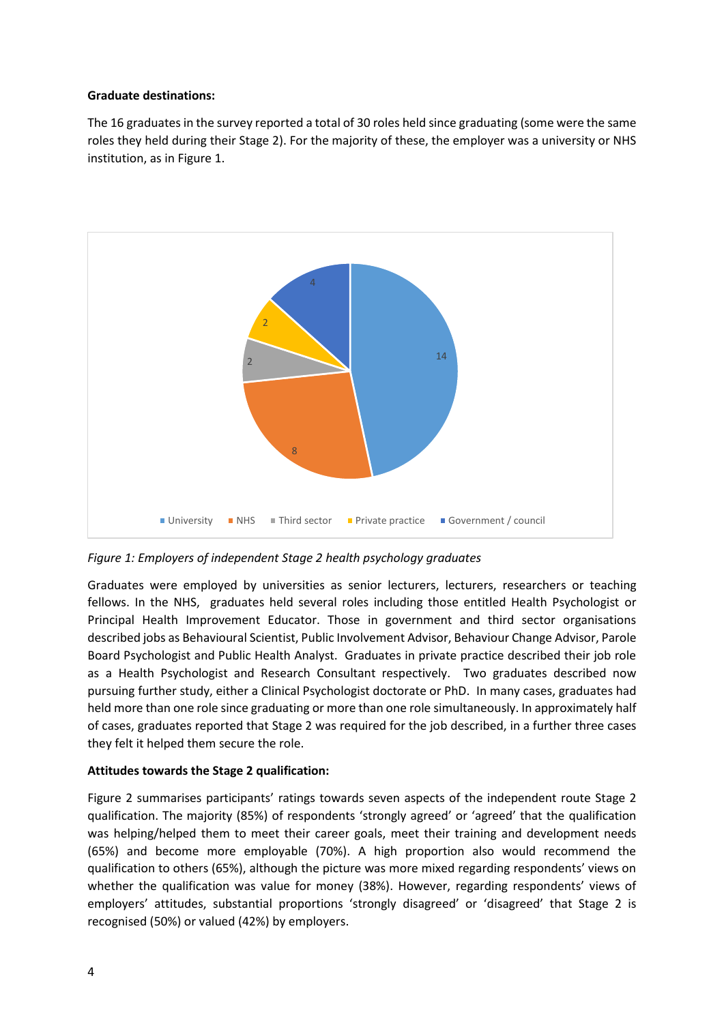## **Graduate destinations:**

The 16 graduates in the survey reported a total of 30 roles held since graduating (some were the same roles they held during their Stage 2). For the majority of these, the employer was a university or NHS institution, as in Figure 1.



*Figure 1: Employers of independent Stage 2 health psychology graduates*

Graduates were employed by universities as senior lecturers, lecturers, researchers or teaching fellows. In the NHS, graduates held several roles including those entitled Health Psychologist or Principal Health Improvement Educator. Those in government and third sector organisations described jobs as Behavioural Scientist, Public Involvement Advisor, Behaviour Change Advisor, Parole Board Psychologist and Public Health Analyst. Graduates in private practice described their job role as a Health Psychologist and Research Consultant respectively. Two graduates described now pursuing further study, either a Clinical Psychologist doctorate or PhD. In many cases, graduates had held more than one role since graduating or more than one role simultaneously. In approximately half of cases, graduates reported that Stage 2 was required for the job described, in a further three cases they felt it helped them secure the role.

# **Attitudes towards the Stage 2 qualification:**

Figure 2 summarises participants' ratings towards seven aspects of the independent route Stage 2 qualification. The majority (85%) of respondents 'strongly agreed' or 'agreed' that the qualification was helping/helped them to meet their career goals, meet their training and development needs (65%) and become more employable (70%). A high proportion also would recommend the qualification to others (65%), although the picture was more mixed regarding respondents' views on whether the qualification was value for money (38%). However, regarding respondents' views of employers' attitudes, substantial proportions 'strongly disagreed' or 'disagreed' that Stage 2 is recognised (50%) or valued (42%) by employers.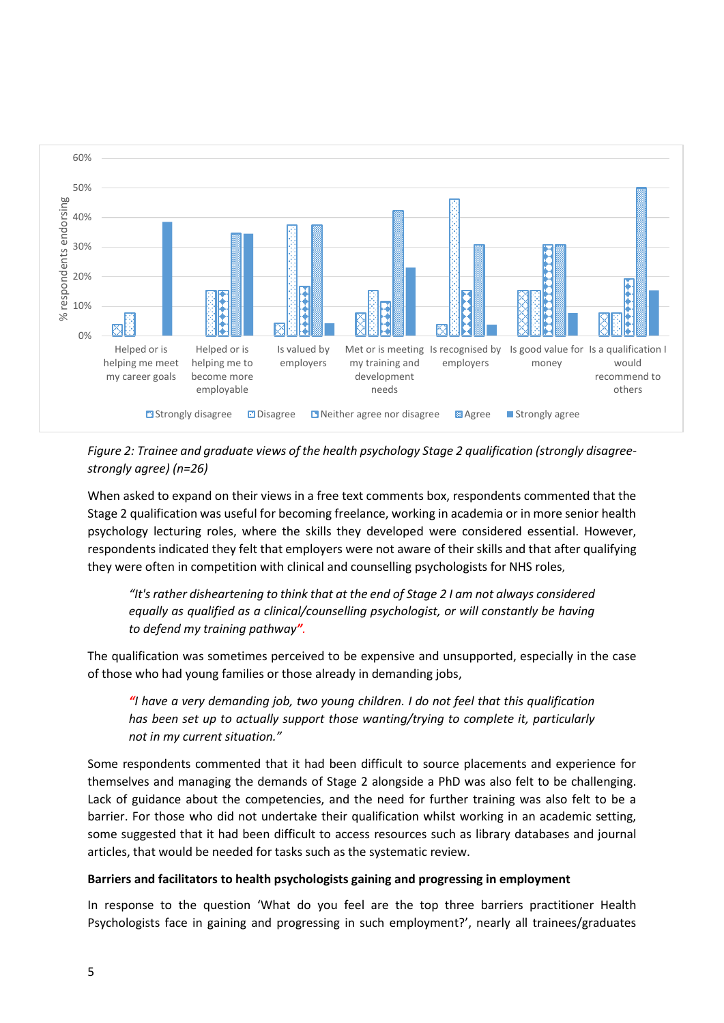

*Figure 2: Trainee and graduate views of the health psychology Stage 2 qualification (strongly disagreestrongly agree) (n=26)*

When asked to expand on their views in a free text comments box, respondents commented that the Stage 2 qualification was useful for becoming freelance, working in academia or in more senior health psychology lecturing roles, where the skills they developed were considered essential. However, respondents indicated they felt that employers were not aware of their skills and that after qualifying they were often in competition with clinical and counselling psychologists for NHS roles,

*"It's rather disheartening to think that at the end of Stage 2 I am not always considered equally as qualified as a clinical/counselling psychologist, or will constantly be having to defend my training pathway".*

The qualification was sometimes perceived to be expensive and unsupported, especially in the case of those who had young families or those already in demanding jobs,

*"I have a very demanding job, two young children. I do not feel that this qualification has been set up to actually support those wanting/trying to complete it, particularly not in my current situation."*

Some respondents commented that it had been difficult to source placements and experience for themselves and managing the demands of Stage 2 alongside a PhD was also felt to be challenging. Lack of guidance about the competencies, and the need for further training was also felt to be a barrier. For those who did not undertake their qualification whilst working in an academic setting, some suggested that it had been difficult to access resources such as library databases and journal articles, that would be needed for tasks such as the systematic review.

## **Barriers and facilitators to health psychologists gaining and progressing in employment**

In response to the question 'What do you feel are the top three barriers practitioner Health Psychologists face in gaining and progressing in such employment?', nearly all trainees/graduates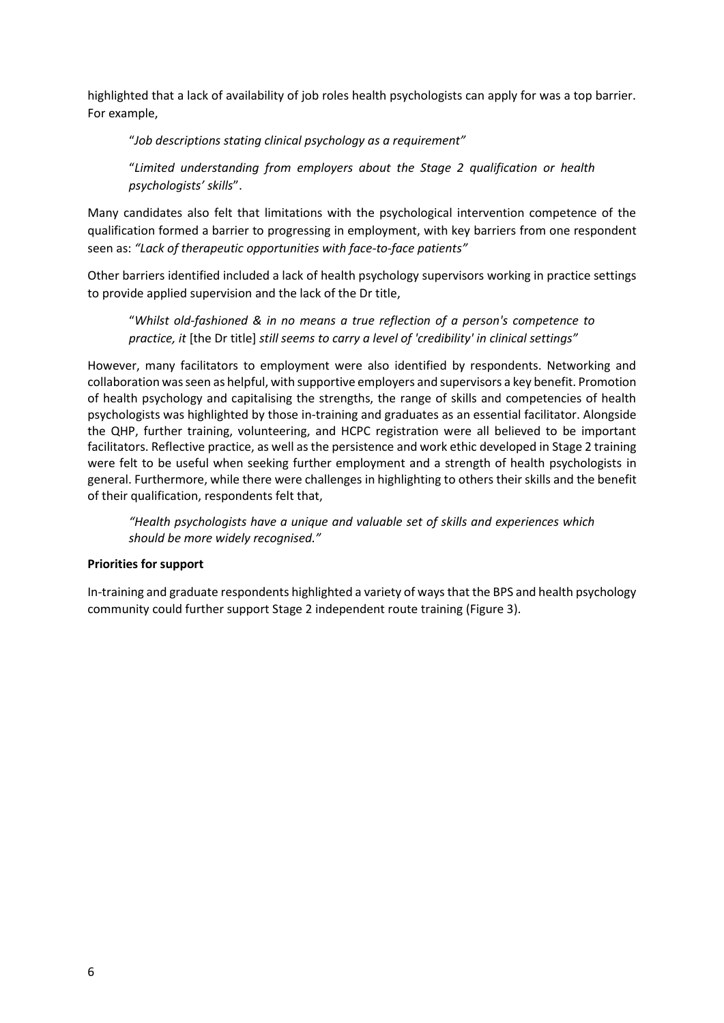highlighted that a lack of availability of job roles health psychologists can apply for was a top barrier. For example,

"*Job descriptions stating clinical psychology as a requirement"*

"*Limited understanding from employers about the Stage 2 qualification or health psychologists' skills*".

Many candidates also felt that limitations with the psychological intervention competence of the qualification formed a barrier to progressing in employment, with key barriers from one respondent seen as: *"Lack of therapeutic opportunities with face-to-face patients"*

Other barriers identified included a lack of health psychology supervisors working in practice settings to provide applied supervision and the lack of the Dr title,

"*Whilst old-fashioned & in no means a true reflection of a person's competence to practice, it* [the Dr title] *still seems to carry a level of 'credibility' in clinical settings"*

However, many facilitators to employment were also identified by respondents. Networking and collaboration was seen as helpful, with supportive employers and supervisors a key benefit. Promotion of health psychology and capitalising the strengths, the range of skills and competencies of health psychologists was highlighted by those in-training and graduates as an essential facilitator. Alongside the QHP, further training, volunteering, and HCPC registration were all believed to be important facilitators. Reflective practice, as well as the persistence and work ethic developed in Stage 2 training were felt to be useful when seeking further employment and a strength of health psychologists in general. Furthermore, while there were challenges in highlighting to others their skills and the benefit of their qualification, respondents felt that,

*"Health psychologists have a unique and valuable set of skills and experiences which should be more widely recognised."*

## **Priorities for support**

In-training and graduate respondents highlighted a variety of ways that the BPS and health psychology community could further support Stage 2 independent route training (Figure 3).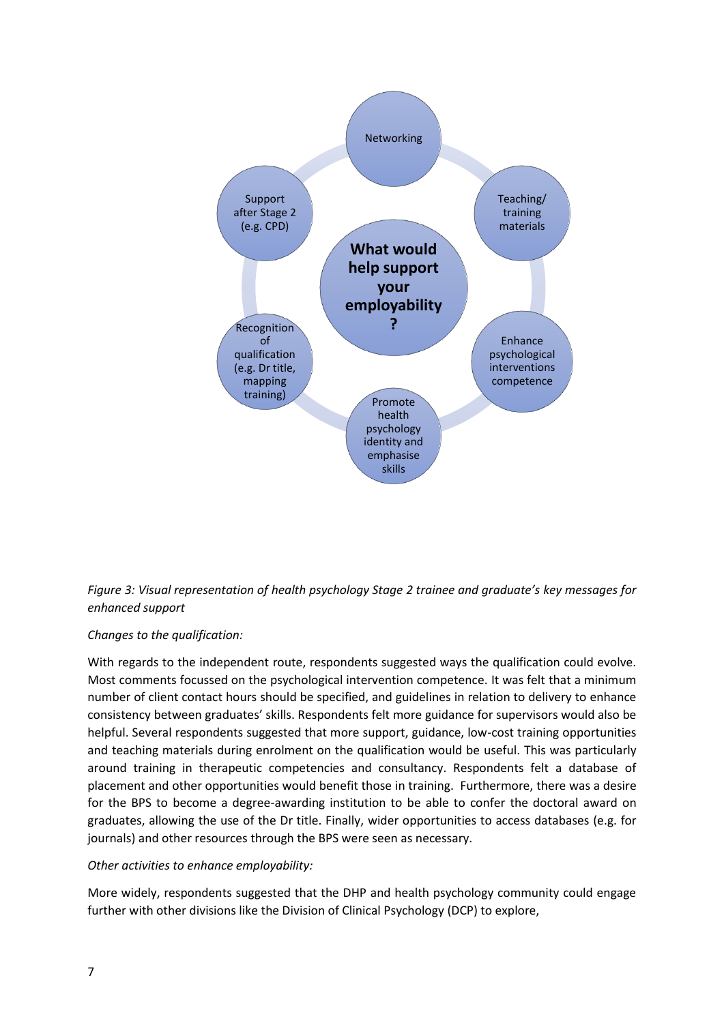



# *Changes to the qualification:*

With regards to the independent route, respondents suggested ways the qualification could evolve. Most comments focussed on the psychological intervention competence. It was felt that a minimum number of client contact hours should be specified, and guidelines in relation to delivery to enhance consistency between graduates' skills. Respondents felt more guidance for supervisors would also be helpful. Several respondents suggested that more support, guidance, low-cost training opportunities and teaching materials during enrolment on the qualification would be useful. This was particularly around training in therapeutic competencies and consultancy. Respondents felt a database of placement and other opportunities would benefit those in training. Furthermore, there was a desire for the BPS to become a degree-awarding institution to be able to confer the doctoral award on graduates, allowing the use of the Dr title. Finally, wider opportunities to access databases (e.g. for journals) and other resources through the BPS were seen as necessary.

## *Other activities to enhance employability:*

More widely, respondents suggested that the DHP and health psychology community could engage further with other divisions like the Division of Clinical Psychology (DCP) to explore,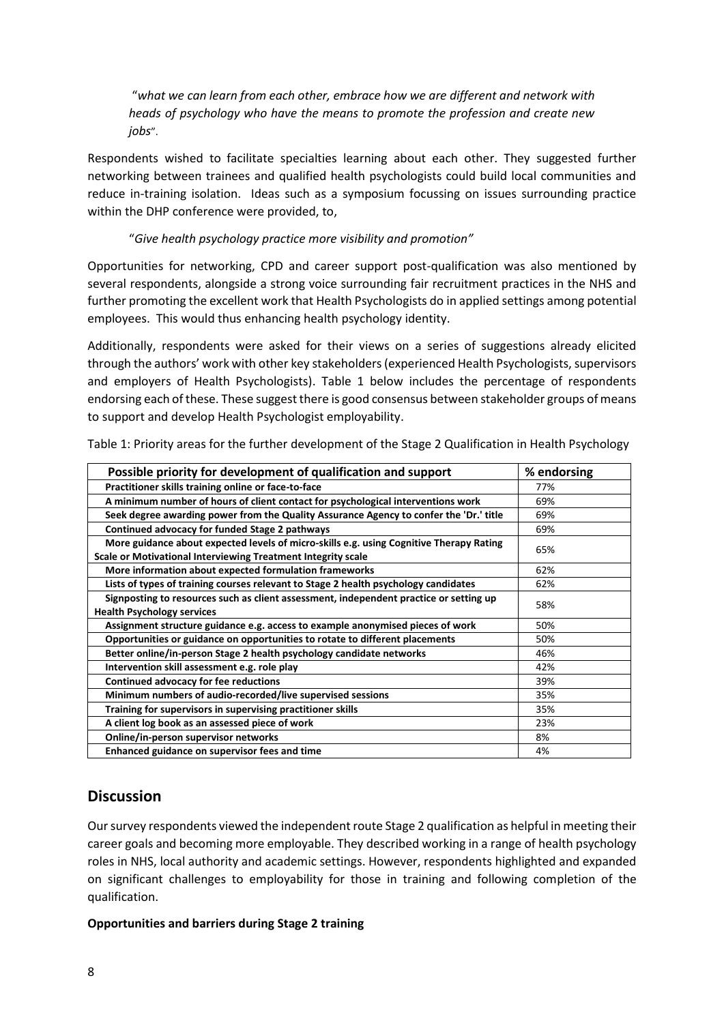"*what we can learn from each other, embrace how we are different and network with heads of psychology who have the means to promote the profession and create new jobs*".

Respondents wished to facilitate specialties learning about each other. They suggested further networking between trainees and qualified health psychologists could build local communities and reduce in-training isolation. Ideas such as a symposium focussing on issues surrounding practice within the DHP conference were provided, to,

## "*Give health psychology practice more visibility and promotion"*

Opportunities for networking, CPD and career support post-qualification was also mentioned by several respondents, alongside a strong voice surrounding fair recruitment practices in the NHS and further promoting the excellent work that Health Psychologists do in applied settings among potential employees. This would thus enhancing health psychology identity.

Additionally, respondents were asked for their views on a series of suggestions already elicited through the authors' work with other key stakeholders (experienced Health Psychologists, supervisors and employers of Health Psychologists). Table 1 below includes the percentage of respondents endorsing each of these. These suggest there is good consensus between stakeholder groups of means to support and develop Health Psychologist employability.

| Possible priority for development of qualification and support                                                                                          | % endorsing |
|---------------------------------------------------------------------------------------------------------------------------------------------------------|-------------|
| Practitioner skills training online or face-to-face                                                                                                     | 77%         |
| A minimum number of hours of client contact for psychological interventions work                                                                        | 69%         |
| Seek degree awarding power from the Quality Assurance Agency to confer the 'Dr.' title                                                                  | 69%         |
| Continued advocacy for funded Stage 2 pathways                                                                                                          | 69%         |
| More guidance about expected levels of micro-skills e.g. using Cognitive Therapy Rating<br>Scale or Motivational Interviewing Treatment Integrity scale | 65%         |
| More information about expected formulation frameworks                                                                                                  | 62%         |
| Lists of types of training courses relevant to Stage 2 health psychology candidates                                                                     | 62%         |
| Signposting to resources such as client assessment, independent practice or setting up<br><b>Health Psychology services</b>                             | 58%         |
| Assignment structure guidance e.g. access to example anonymised pieces of work                                                                          | 50%         |
| Opportunities or guidance on opportunities to rotate to different placements                                                                            | 50%         |
| Better online/in-person Stage 2 health psychology candidate networks                                                                                    | 46%         |
| Intervention skill assessment e.g. role play                                                                                                            | 42%         |
| Continued advocacy for fee reductions                                                                                                                   | 39%         |
| Minimum numbers of audio-recorded/live supervised sessions                                                                                              | 35%         |
| Training for supervisors in supervising practitioner skills                                                                                             | 35%         |
| A client log book as an assessed piece of work                                                                                                          | 23%         |
| Online/in-person supervisor networks                                                                                                                    | 8%          |
| Enhanced guidance on supervisor fees and time                                                                                                           | 4%          |

Table 1: Priority areas for the further development of the Stage 2 Qualification in Health Psychology

# **Discussion**

Our survey respondents viewed the independent route Stage 2 qualification as helpful in meeting their career goals and becoming more employable. They described working in a range of health psychology roles in NHS, local authority and academic settings. However, respondents highlighted and expanded on significant challenges to employability for those in training and following completion of the qualification.

## **Opportunities and barriers during Stage 2 training**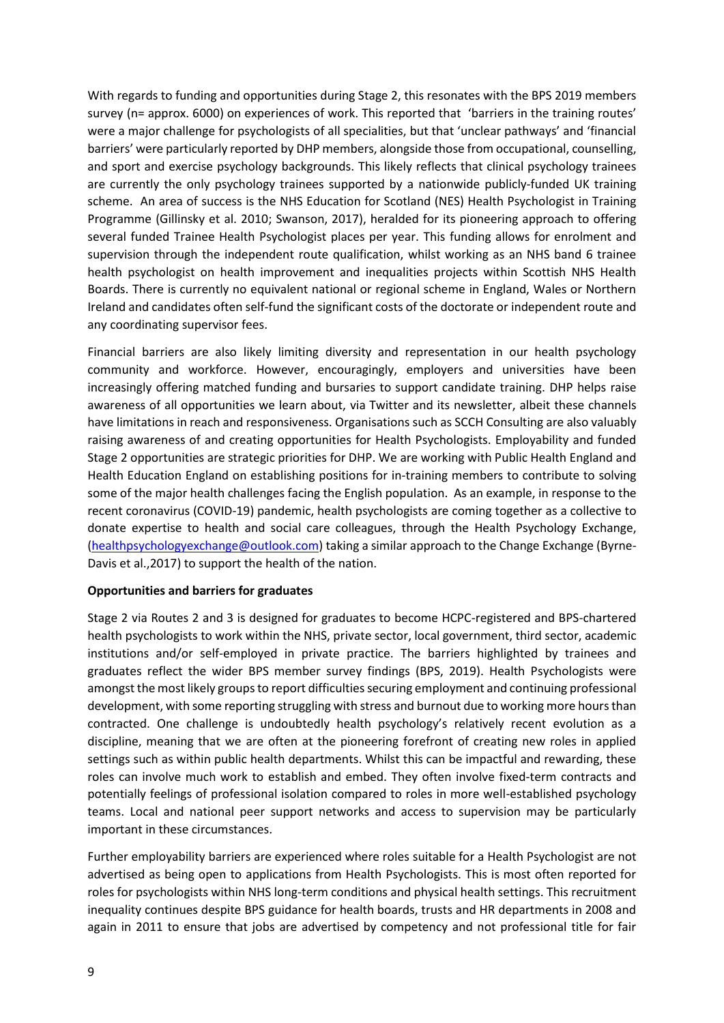With regards to funding and opportunities during Stage 2, this resonates with the BPS 2019 members survey (n= approx. 6000) on experiences of work. This reported that 'barriers in the training routes' were a major challenge for psychologists of all specialities, but that 'unclear pathways' and 'financial barriers' were particularly reported by DHP members, alongside those from occupational, counselling, and sport and exercise psychology backgrounds. This likely reflects that clinical psychology trainees are currently the only psychology trainees supported by a nationwide publicly-funded UK training scheme. An area of success is the NHS Education for Scotland (NES) Health Psychologist in Training Programme (Gillinsky et al. 2010; Swanson, 2017), heralded for its pioneering approach to offering several funded Trainee Health Psychologist places per year. This funding allows for enrolment and supervision through the independent route qualification, whilst working as an NHS band 6 trainee health psychologist on health improvement and inequalities projects within Scottish NHS Health Boards. There is currently no equivalent national or regional scheme in England, Wales or Northern Ireland and candidates often self-fund the significant costs of the doctorate or independent route and any coordinating supervisor fees.

Financial barriers are also likely limiting diversity and representation in our health psychology community and workforce. However, encouragingly, employers and universities have been increasingly offering matched funding and bursaries to support candidate training. DHP helps raise awareness of all opportunities we learn about, via Twitter and its newsletter, albeit these channels have limitations in reach and responsiveness. Organisations such as SCCH Consulting are also valuably raising awareness of and creating opportunities for Health Psychologists. Employability and funded Stage 2 opportunities are strategic priorities for DHP. We are working with Public Health England and Health Education England on establishing positions for in-training members to contribute to solving some of the major health challenges facing the English population. As an example, in response to the recent coronavirus (COVID-19) pandemic, health psychologists are coming together as a collective to donate expertise to health and social care colleagues, through the Health Psychology Exchange, [\(healthpsychologyexchange@outlook.com\)](mailto:healthpsychologyexchange@outlook.com) taking a similar approach to the Change Exchange (Byrne-Davis et al.,2017) to support the health of the nation.

## **Opportunities and barriers for graduates**

Stage 2 via Routes 2 and 3 is designed for graduates to become HCPC-registered and BPS-chartered health psychologists to work within the NHS, private sector, local government, third sector, academic institutions and/or self-employed in private practice. The barriers highlighted by trainees and graduates reflect the wider BPS member survey findings (BPS, 2019). Health Psychologists were amongst the most likely groups to report difficulties securing employment and continuing professional development, with some reporting struggling with stress and burnout due to working more hours than contracted. One challenge is undoubtedly health psychology's relatively recent evolution as a discipline, meaning that we are often at the pioneering forefront of creating new roles in applied settings such as within public health departments. Whilst this can be impactful and rewarding, these roles can involve much work to establish and embed. They often involve fixed-term contracts and potentially feelings of professional isolation compared to roles in more well-established psychology teams. Local and national peer support networks and access to supervision may be particularly important in these circumstances.

Further employability barriers are experienced where roles suitable for a Health Psychologist are not advertised as being open to applications from Health Psychologists. This is most often reported for roles for psychologists within NHS long-term conditions and physical health settings. This recruitment inequality continues despite BPS guidance for health boards, trusts and HR departments in 2008 and again in 2011 to ensure that jobs are advertised by competency and not professional title for fair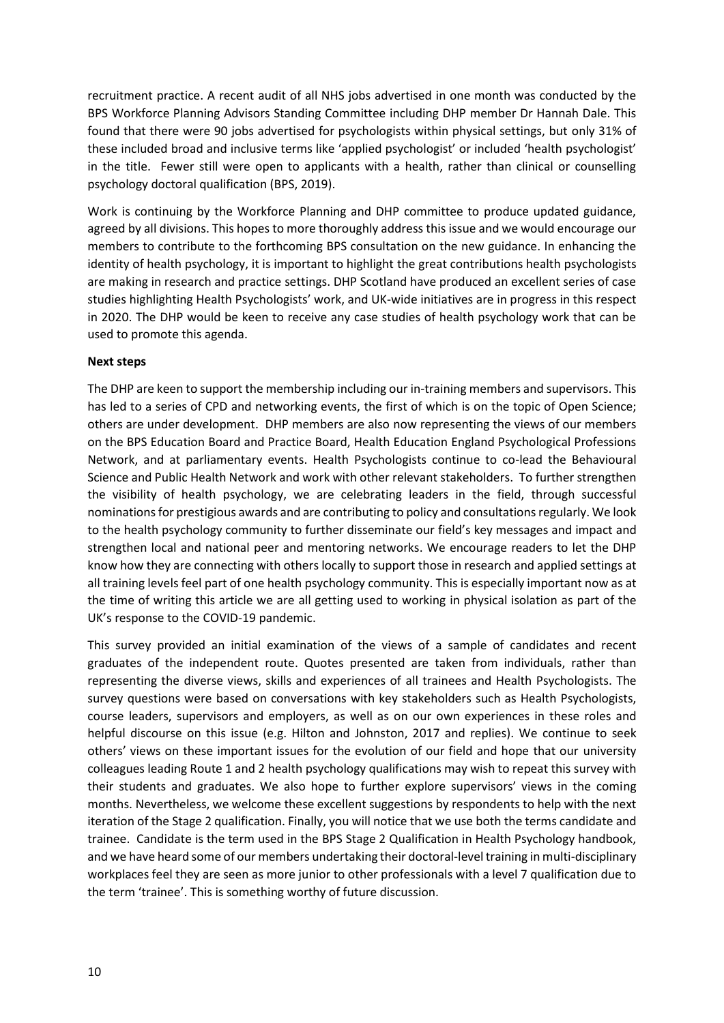recruitment practice. A recent audit of all NHS jobs advertised in one month was conducted by the BPS Workforce Planning Advisors Standing Committee including DHP member Dr Hannah Dale. This found that there were 90 jobs advertised for psychologists within physical settings, but only 31% of these included broad and inclusive terms like 'applied psychologist' or included 'health psychologist' in the title. Fewer still were open to applicants with a health, rather than clinical or counselling psychology doctoral qualification (BPS, 2019).

Work is continuing by the Workforce Planning and DHP committee to produce updated guidance, agreed by all divisions. This hopes to more thoroughly address this issue and we would encourage our members to contribute to the forthcoming BPS consultation on the new guidance. In enhancing the identity of health psychology, it is important to highlight the great contributions health psychologists are making in research and practice settings. DHP Scotland have produced an excellent series of case studies highlighting Health Psychologists' work, and UK-wide initiatives are in progress in this respect in 2020. The DHP would be keen to receive any case studies of health psychology work that can be used to promote this agenda.

## **Next steps**

The DHP are keen to support the membership including our in-training members and supervisors. This has led to a series of CPD and networking events, the first of which is on the topic of Open Science; others are under development. DHP members are also now representing the views of our members on the BPS Education Board and Practice Board, Health Education England Psychological Professions Network, and at parliamentary events. Health Psychologists continue to co-lead the Behavioural Science and Public Health Network and work with other relevant stakeholders. To further strengthen the visibility of health psychology, we are celebrating leaders in the field, through successful nominations for prestigious awards and are contributing to policy and consultations regularly. We look to the health psychology community to further disseminate our field's key messages and impact and strengthen local and national peer and mentoring networks. We encourage readers to let the DHP know how they are connecting with others locally to support those in research and applied settings at all training levels feel part of one health psychology community. This is especially important now as at the time of writing this article we are all getting used to working in physical isolation as part of the UK's response to the COVID-19 pandemic.

This survey provided an initial examination of the views of a sample of candidates and recent graduates of the independent route. Quotes presented are taken from individuals, rather than representing the diverse views, skills and experiences of all trainees and Health Psychologists. The survey questions were based on conversations with key stakeholders such as Health Psychologists, course leaders, supervisors and employers, as well as on our own experiences in these roles and helpful discourse on this issue (e.g. Hilton and Johnston, 2017 and replies). We continue to seek others' views on these important issues for the evolution of our field and hope that our university colleagues leading Route 1 and 2 health psychology qualifications may wish to repeat this survey with their students and graduates. We also hope to further explore supervisors' views in the coming months. Nevertheless, we welcome these excellent suggestions by respondents to help with the next iteration of the Stage 2 qualification. Finally, you will notice that we use both the terms candidate and trainee. Candidate is the term used in the BPS Stage 2 Qualification in Health Psychology handbook, and we have heard some of our members undertaking their doctoral-level training in multi-disciplinary workplaces feel they are seen as more junior to other professionals with a level 7 qualification due to the term 'trainee'. This is something worthy of future discussion.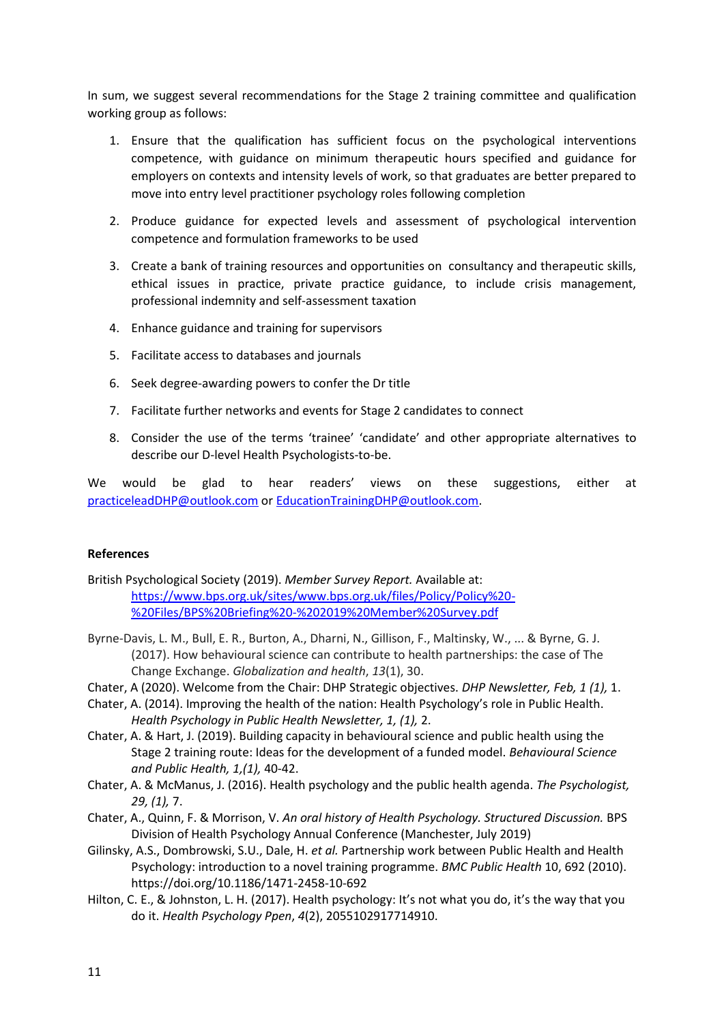In sum, we suggest several recommendations for the Stage 2 training committee and qualification working group as follows:

- 1. Ensure that the qualification has sufficient focus on the psychological interventions competence, with guidance on minimum therapeutic hours specified and guidance for employers on contexts and intensity levels of work, so that graduates are better prepared to move into entry level practitioner psychology roles following completion
- 2. Produce guidance for expected levels and assessment of psychological intervention competence and formulation frameworks to be used
- 3. Create a bank of training resources and opportunities on consultancy and therapeutic skills, ethical issues in practice, private practice guidance, to include crisis management, professional indemnity and self-assessment taxation
- 4. Enhance guidance and training for supervisors
- 5. Facilitate access to databases and journals
- 6. Seek degree-awarding powers to confer the Dr title
- 7. Facilitate further networks and events for Stage 2 candidates to connect
- 8. Consider the use of the terms 'trainee' 'candidate' and other appropriate alternatives to describe our D-level Health Psychologists-to-be.

We would be glad to hear readers' views on these suggestions, either at [practiceleadDHP@outlook.com](mailto:practiceleadDHP@outlook.com) or [EducationTrainingDHP@outlook.com.](mailto:EducationTrainingDHP@outlook.com)

## **References**

British Psychological Society (2019). *Member Survey Report.* Available at: [https://www.bps.org.uk/sites/www.bps.org.uk/files/Policy/Policy%20-](https://www.bps.org.uk/sites/www.bps.org.uk/files/Policy/Policy%20-%20Files/BPS%20Briefing%20-%202019%20Member%20Survey.pdf) [%20Files/BPS%20Briefing%20-%202019%20Member%20Survey.pdf](https://www.bps.org.uk/sites/www.bps.org.uk/files/Policy/Policy%20-%20Files/BPS%20Briefing%20-%202019%20Member%20Survey.pdf)

- Byrne-Davis, L. M., Bull, E. R., Burton, A., Dharni, N., Gillison, F., Maltinsky, W., ... & Byrne, G. J. (2017). How behavioural science can contribute to health partnerships: the case of The Change Exchange. *Globalization and health*, *13*(1), 30.
- Chater, A (2020). Welcome from the Chair: DHP Strategic objectives. *DHP Newsletter, Feb, 1 (1),* 1.
- Chater, A. (2014). Improving the health of the nation: Health Psychology's role in Public Health. *Health Psychology in Public Health Newsletter, 1, (1),* 2.
- Chater, A. & Hart, J. (2019). Building capacity in behavioural science and public health using the Stage 2 training route: Ideas for the development of a funded model. *Behavioural Science and Public Health, 1,(1),* 40-42.
- Chater, A. & McManus, J. (2016). Health psychology and the public health agenda. *The Psychologist, 29, (1),* 7.
- Chater, A., Quinn, F. & Morrison, V. *An oral history of Health Psychology. Structured Discussion.* BPS Division of Health Psychology Annual Conference (Manchester, July 2019)
- Gilinsky, A.S., Dombrowski, S.U., Dale, H. *et al.* Partnership work between Public Health and Health Psychology: introduction to a novel training programme. *BMC Public Health* 10, 692 (2010). https://doi.org/10.1186/1471-2458-10-692
- Hilton, C. E., & Johnston, L. H. (2017). Health psychology: It's not what you do, it's the way that you do it. *Health Psychology Ppen*, *4*(2), 2055102917714910.